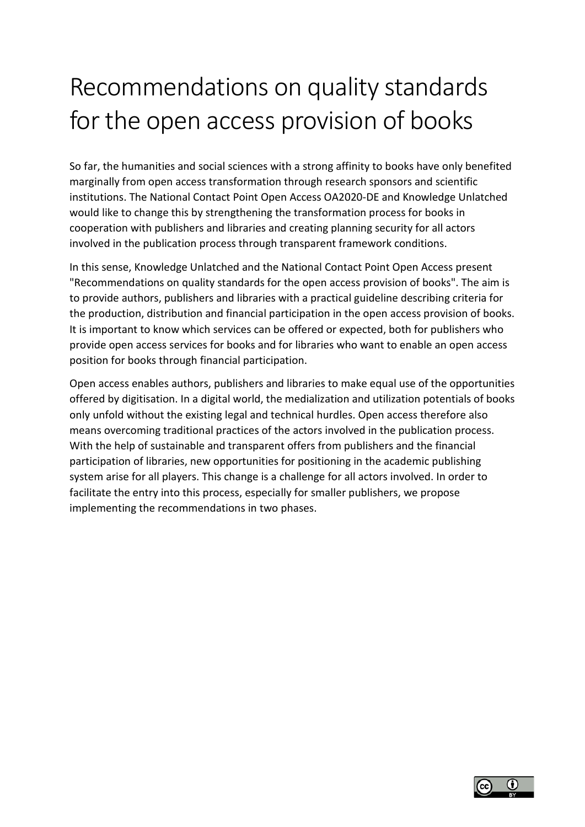# Recommendations on quality standards for the open access provision of books

So far, the humanities and social sciences with a strong affinity to books have only benefited marginally from open access transformation through research sponsors and scientific institutions. The National Contact Point Open Access OA2020-DE and Knowledge Unlatched would like to change this by strengthening the transformation process for books in cooperation with publishers and libraries and creating planning security for all actors involved in the publication process through transparent framework conditions.

In this sense, Knowledge Unlatched and the National Contact Point Open Access present "Recommendations on quality standards for the open access provision of books". The aim is to provide authors, publishers and libraries with a practical guideline describing criteria for the production, distribution and financial participation in the open access provision of books. It is important to know which services can be offered or expected, both for publishers who provide open access services for books and for libraries who want to enable an open access position for books through financial participation.

Open access enables authors, publishers and libraries to make equal use of the opportunities offered by digitisation. In a digital world, the medialization and utilization potentials of books only unfold without the existing legal and technical hurdles. Open access therefore also means overcoming traditional practices of the actors involved in the publication process. With the help of sustainable and transparent offers from publishers and the financial participation of libraries, new opportunities for positioning in the academic publishing system arise for all players. This change is a challenge for all actors involved. In order to facilitate the entry into this process, especially for smaller publishers, we propose implementing the recommendations in two phases.

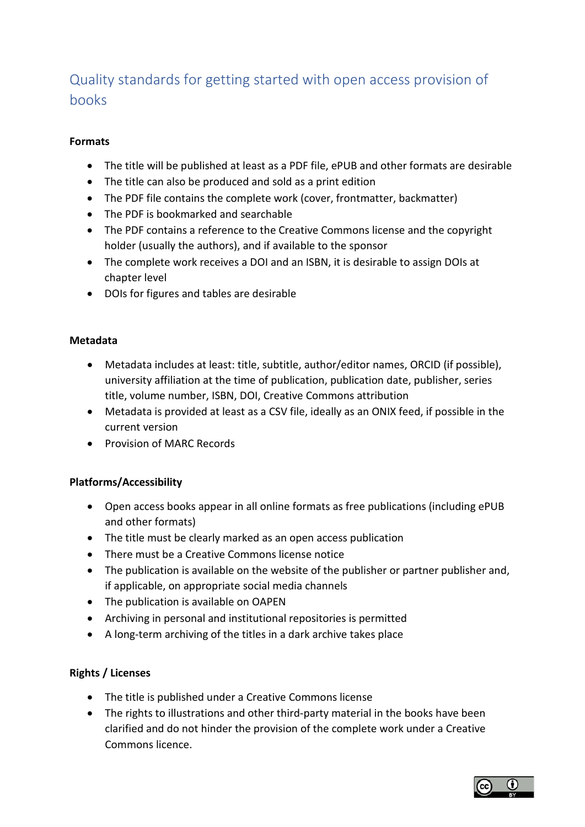# Quality standards for getting started with open access provision of books

### **Formats**

- The title will be published at least as a PDF file, ePUB and other formats are desirable
- The title can also be produced and sold as a print edition
- The PDF file contains the complete work (cover, frontmatter, backmatter)
- The PDF is bookmarked and searchable
- The PDF contains a reference to the Creative Commons license and the copyright holder (usually the authors), and if available to the sponsor
- The complete work receives a DOI and an ISBN, it is desirable to assign DOIs at chapter level
- DOIs for figures and tables are desirable

#### **Metadata**

- Metadata includes at least: title, subtitle, author/editor names, ORCID (if possible), university affiliation at the time of publication, publication date, publisher, series title, volume number, ISBN, DOI, Creative Commons attribution
- Metadata is provided at least as a CSV file, ideally as an ONIX feed, if possible in the current version
- Provision of MARC Records

## **Platforms/Accessibility**

- Open access books appear in all online formats as free publications (including ePUB and other formats)
- The title must be clearly marked as an open access publication
- There must be a Creative Commons license notice
- The publication is available on the website of the publisher or partner publisher and, if applicable, on appropriate social media channels
- The publication is available on OAPEN
- Archiving in personal and institutional repositories is permitted
- A long-term archiving of the titles in a dark archive takes place

## **Rights / Licenses**

- The title is published under a Creative Commons license
- The rights to illustrations and other third-party material in the books have been clarified and do not hinder the provision of the complete work under a Creative Commons licence.

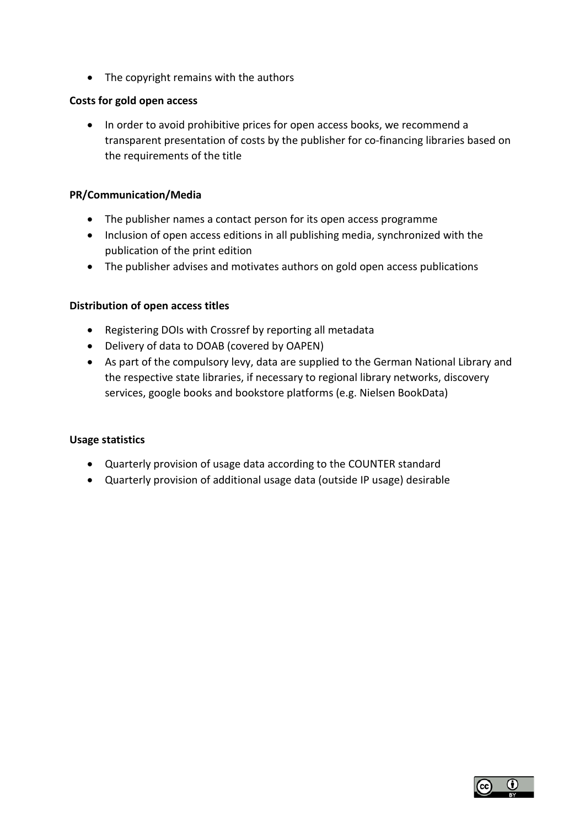• The copyright remains with the authors

#### **Costs for gold open access**

• In order to avoid prohibitive prices for open access books, we recommend a transparent presentation of costs by the publisher for co-financing libraries based on the requirements of the title

#### **PR/Communication/Media**

- The publisher names a contact person for its open access programme
- Inclusion of open access editions in all publishing media, synchronized with the publication of the print edition
- The publisher advises and motivates authors on gold open access publications

#### **Distribution of open access titles**

- Registering DOIs with Crossref by reporting all metadata
- Delivery of data to DOAB (covered by OAPEN)
- As part of the compulsory levy, data are supplied to the German National Library and the respective state libraries, if necessary to regional library networks, discovery services, google books and bookstore platforms (e.g. Nielsen BookData)

#### **Usage statistics**

- Quarterly provision of usage data according to the COUNTER standard
- Quarterly provision of additional usage data (outside IP usage) desirable